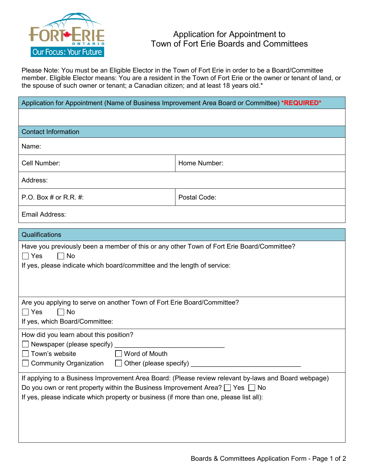

Please Note: You must be an Eligible Elector in the Town of Fort Erie in order to be a Board/Committee member. Eligible Elector means: You are a resident in the Town of Fort Erie or the owner or tenant of land, or the spouse of such owner or tenant; a Canadian citizen; and at least 18 years old.\*

| Application for Appointment (Name of Business Improvement Area Board or Committee) *REQUIRED*                                                                                                                                                                                             |              |
|-------------------------------------------------------------------------------------------------------------------------------------------------------------------------------------------------------------------------------------------------------------------------------------------|--------------|
|                                                                                                                                                                                                                                                                                           |              |
| <b>Contact Information</b>                                                                                                                                                                                                                                                                |              |
| Name:                                                                                                                                                                                                                                                                                     |              |
| Cell Number:                                                                                                                                                                                                                                                                              | Home Number: |
| Address:                                                                                                                                                                                                                                                                                  |              |
| P.O. Box # or R.R. #:                                                                                                                                                                                                                                                                     | Postal Code: |
| Email Address:                                                                                                                                                                                                                                                                            |              |
| Qualifications                                                                                                                                                                                                                                                                            |              |
| Have you previously been a member of this or any other Town of Fort Erie Board/Committee?<br>$\Box$ Yes<br>$\Box$ No<br>If yes, please indicate which board/committee and the length of service:                                                                                          |              |
| Are you applying to serve on another Town of Fort Erie Board/Committee?<br>$\Box$ No<br>$\Box$ Yes<br>If yes, which Board/Committee:                                                                                                                                                      |              |
| How did you learn about this position?<br>Newspaper (please specify)<br>Town's website<br>Word of Mouth<br><b>Community Organization</b><br>Other (please specify)                                                                                                                        |              |
| If applying to a Business Improvement Area Board: (Please review relevant by-laws and Board webpage)<br>Do you own or rent property within the Business Improvement Area? $\Box$ Yes $\Box$ No<br>If yes, please indicate which property or business (if more than one, please list all): |              |